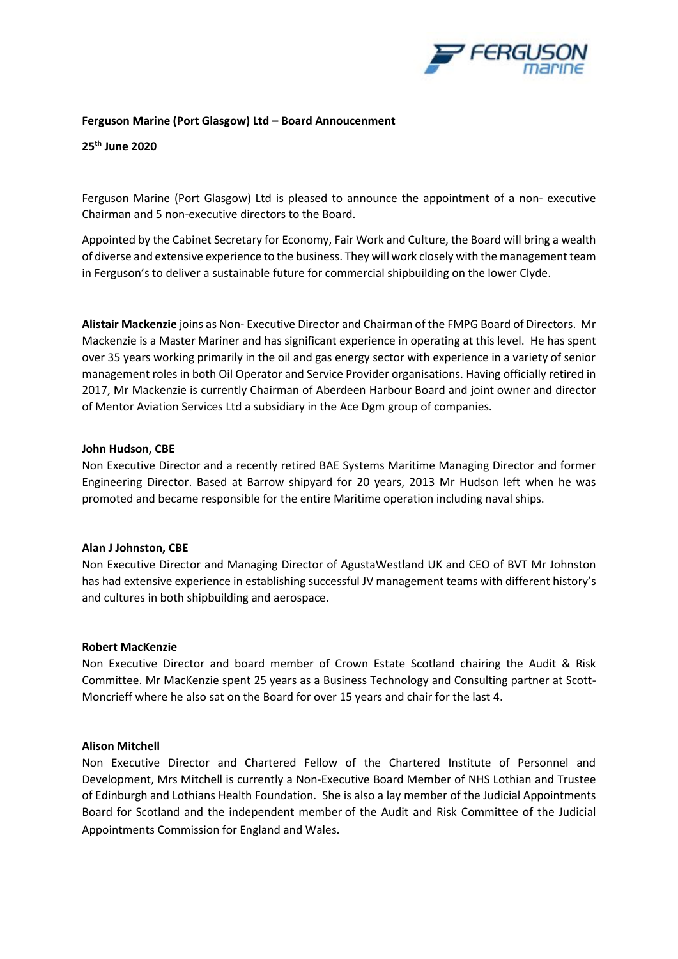

## **Ferguson Marine (Port Glasgow) Ltd – Board Annoucenment**

**25th June 2020**

Ferguson Marine (Port Glasgow) Ltd is pleased to announce the appointment of a non- executive Chairman and 5 non-executive directors to the Board.

Appointed by the Cabinet Secretary for Economy, Fair Work and Culture, the Board will bring a wealth of diverse and extensive experience to the business. They will work closely with the management team in Ferguson's to deliver a sustainable future for commercial shipbuilding on the lower Clyde.

**Alistair Mackenzie** joins as Non- Executive Director and Chairman of the FMPG Board of Directors. Mr Mackenzie is a Master Mariner and has significant experience in operating at this level. He has spent over 35 years working primarily in the oil and gas energy sector with experience in a variety of senior management roles in both Oil Operator and Service Provider organisations. Having officially retired in 2017, Mr Mackenzie is currently Chairman of Aberdeen Harbour Board and joint owner and director of Mentor Aviation Services Ltd a subsidiary in the Ace Dgm group of companies.

#### **John Hudson, CBE**

Non Executive Director and a recently retired BAE Systems Maritime Managing Director and former Engineering Director. Based at Barrow shipyard for 20 years, 2013 Mr Hudson left when he was promoted and became responsible for the entire Maritime operation including naval ships.

# **Alan J Johnston, CBE**

Non Executive Director and Managing Director of AgustaWestland UK and CEO of BVT Mr Johnston has had extensive experience in establishing successful JV management teams with different history's and cultures in both shipbuilding and aerospace.

#### **Robert MacKenzie**

Non Executive Director and board member of Crown Estate Scotland chairing the Audit & Risk Committee. Mr MacKenzie spent 25 years as a Business Technology and Consulting partner at Scott-Moncrieff where he also sat on the Board for over 15 years and chair for the last 4.

#### **Alison Mitchell**

Non Executive Director and Chartered Fellow of the Chartered Institute of Personnel and Development, Mrs Mitchell is currently a Non-Executive Board Member of NHS Lothian and Trustee of Edinburgh and Lothians Health Foundation. She is also a lay member of the Judicial Appointments Board for Scotland and the independent member of the Audit and Risk Committee of the Judicial Appointments Commission for England and Wales.